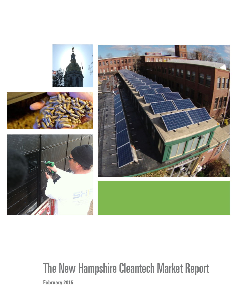

# The New Hampshire Cleantech Market Report

**February 2015**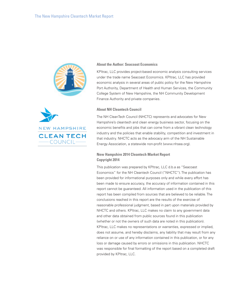



KPItrac, LLC provides project-based economic analysis consulting services under the trade name Seacoast Economics. KPItrac, LLC has provided economic analysis in several areas of public policy for the New Hampshire Port Authority, Department of Health and Human Services, the Community College System of New Hampshire, the NH Community Development Finance Authority and private companies.

#### **About NH Cleantech Council**



The NH CleanTech Council (NHCTC) represents and advocates for New Hampshire's cleantech and clean energy business sector, focusing on the economic benefits and jobs that can come from a vibrant clean technology industry and the policies that enable stability, competition and investment in that industry. NHCTC acts as the advocacy arm of the NH Sustainable Energy Association, a statewide non-profit (www.nhsea.org).

#### **New Hampshire 2014 Cleantech Market Report Copyright 2014**

This publication was prepared by KPItrac, LLC d.b.a as "Seacoast Economics" for the NH Cleantech Council ("NHCTC"). The publication has been provided for informational purposes only and while every effort has been made to ensure accuracy, the accuracy of information contained in this report cannot be guaranteed. All information used in the publication of this report has been compiled from sources that are believed to be reliable. The conclusions reached in this report are the results of the exercise of reasonable professional judgment, based in part upon materials provided by NHCTC and others. KPItrac, LLC makes no claim to any government data and other data obtained from public sources found in this publication (whether or not the owners of such data are noted in this publication). KPItrac, LLC makes no representations or warranties, expressed or implied, does not assume, and hereby disclaims, any liability that may result from any reliance on or use of any information contained in this publication, or for any loss or damage caused by errors or omissions in this publication. NHCTC was responsible for final formatting of the report based on a completed draft provided by KPItrac, LLC.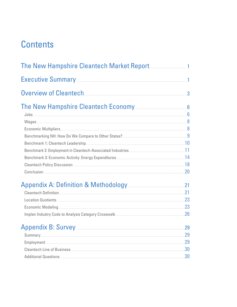## **Contents**

| Executive Summary <b>Executive</b> Summary                                                                                                                                                                                          | $\mathbf{1}$ |
|-------------------------------------------------------------------------------------------------------------------------------------------------------------------------------------------------------------------------------------|--------------|
| Overview of Cleantech                                                                                                                                                                                                               | 3            |
|                                                                                                                                                                                                                                     |              |
| $\sf{Jobs}$ . The contract of the contract of the contract of the contract of the contract of $\sf{6}$                                                                                                                              |              |
|                                                                                                                                                                                                                                     |              |
| Economic Multipliers 8                                                                                                                                                                                                              |              |
|                                                                                                                                                                                                                                     |              |
| Benchmark 1: Cleantech Leadership <b>[2016]</b> [2016] [2016] [2016] [2016] [2016] [2016] [2016] [2016] [2016] [2016] [2016] [2016] [2016] [2016] [2016] [2016] [2016] [2016] [2016] [2016] [2016] [2016] [2016] [2016] [2016] [201 |              |
|                                                                                                                                                                                                                                     |              |
| Benchmark 3: Economic Activity: Energy Expenditures <b>Election Controllers</b> 14                                                                                                                                                  |              |
| Conclusion 20                                                                                                                                                                                                                       |              |
| Appendix A: Definition & Methodology 21                                                                                                                                                                                             |              |
| Cleantech Definition <u>[21] Cleantech</u>                                                                                                                                                                                          |              |
| Location Quotients 23                                                                                                                                                                                                               |              |
| Economic Modeling 23                                                                                                                                                                                                                |              |
|                                                                                                                                                                                                                                     |              |
|                                                                                                                                                                                                                                     | 29           |
|                                                                                                                                                                                                                                     |              |
| Employment 29                                                                                                                                                                                                                       |              |
| Cleantech Line of Business <b>Exercise According to the Cleantech Line of Business</b>                                                                                                                                              |              |
| Additional Questions 30                                                                                                                                                                                                             |              |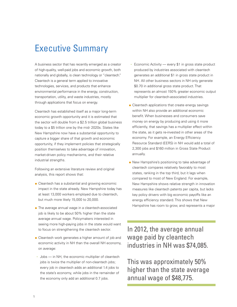## Executive Summary

A business sector that has recently emerged as a creator of high-quality, well-paid jobs and economic growth, both nationally and globally, is clean technology or "cleantech." Cleantech is a general term applied to innovative technologies, services, and products that enhance environmental performance in the energy, construction, transportation, utility, and waste industries, mostly through applications that focus on energy.

Cleantech has established itself as a major long-term economic growth opportunity and it is estimated that the sector will double from a \$2.5 trillion global business today to a \$5 trillion one by the mid- 2020s. States like New Hampshire now have a substantial opportunity to capture a bigger share of that growth and economic opportunity, if they implement policies that strategically position themselves to take advantage of innovation, market-driven policy mechanisms, and their relative industrial strengths.

Following an extensive literature review and original analysis, this report shows that:

- $\bullet$  Cleantech has a substantial and growing economic impact in the state already. New Hampshire today has at least 13,000 workers employed due to cleantech, but much more likely 15,000 to 20,000.
- $\bullet$  The average annual wage in a cleantech-associated job is likely to be about 50% higher than the state average annual wage. Policymakers interested in seeing more high-paying jobs in the state would want to focus on strengthening the cleantech sector.
- Cleantech work generates a higher amount of job and economic activity in NH than the overall NH economy, on average:
- **-** Jobs in NH, the economic multiplier of cleantech jobs is twice the multiplier of non-cleantech jobs; every job in cleantech adds an additional 1.4 jobs to the state's economy, while jobs in the remainder of the economy only add an additional 0.7 jobs.
- **-** Economic Activity every \$1 in gross state product produced by industries associated with cleantech generates an additional \$1 in gross state product in NH. All other business sectors in NH only generate \$0.70 in additional gross state product. That represents an almost 150% greater economic output multiplier for cleantech-associated industries.
- $\bullet$  Cleantech applications that create energy savings within NH also provide an additional economic benefit. When businesses and consumers save money on energy by producing and using it more efficiently, that savings has a multiplier effect within the state, as it gets re-invested in other areas of the economy. For example, an Energy Efficiency Resource Standard (EERS) in NH would add a total of 2,300 jobs and \$160 million in Gross State Product annually.
- . New Hampshire's positioning to take advantage of cleantech compares relatively favorably to most states, ranking in the top third, but it lags when compared to most of New England. For example, New Hampshire shows relative strength in innovation measures like cleantech patents per capita, but lacks key policy drivers with big economic payoffs like an energy efficiency standard. This shows that New Hampshire has room to grow, and represents a major

In 2012, the average annual wage paid by cleantech industries in NH was \$74,085.

This was approximately 50% higher than the state average annual wage of \$48,775.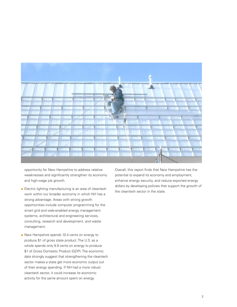

opportunity for New Hampshire to address relative weaknesses and significantly strengthen its economy and high-wage job growth.

- Electric lighting manufacturing is an area of cleantech work within our broader economy in which NH has a strong advantage. Areas with strong growth opportunities include computer programming for the smart grid and web-enabled energy management systems, architectural and engineering services, consulting, research and development, and waste management.
- New Hampshire spends 10.4 cents on energy to produce \$1 of gross state product. The U.S. as a whole spends only 9.9 cents on energy to produce \$1 of Gross Domestic Product (GDP). The economic data strongly suggest that strengthening the cleantech sector makes a state get more economic output out of their energy spending. If NH had a more robust cleantech sector, it could increase its economic activity for the same amount spent on energy.

Overall, this report finds that New Hampshire has the potential to expand its economy and employment, enhance energy security, and reduce exported energy dollars by developing policies that support the growth of the cleantech sector in the state.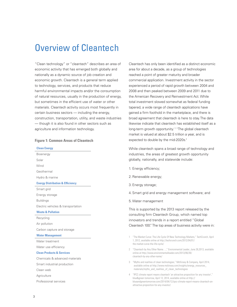## Overview of Cleantech

"Clean technology" or "cleantech" describes an area of economic activity that has emerged both globally and nationally as a dynamic source of job creation and economic growth. Cleantech is a general term applied to technology, services, and products that reduce harmful environmental impacts and/or the consumption of natural resources, usually in the production of energy, but sometimes in the efficient use of water or other materials. Cleantech activity occurs most frequently in certain business sectors — including the energy, construction, transportation, utility, and waste industries — though it is also found in other sectors such as agriculture and information technology.

#### **Figure 1: Common Areas of Cleantech**

#### **Clean Energy**

Bioenergy Solar **Wind** Geothermal Hydro & marine

#### **Energy Distribution & Efficiency**

Smart grid Energy storage Buildings Electric vehicles & transportation

#### **Waste & Pollution**

Recycling Air pollution Carbon capture and storage

#### **Water Management**

Water treatment Water use efficiency

#### **Clean Products & Services**

Chemicals & advanced materials Smart industrial production Clean web **Agriculture** Professional services

Cleantech has only been identified as a distinct economic area for about a decade, as a group of technologies reached a point of greater maturity and broader commercial application. Investment activity in the sector experienced a period of rapid growth between 2004 and 2008 and then peaked between 2009 and 2011 due to the American Recovery and Reinvestment Act. While total investment slowed somewhat as federal funding tapered, a wide range of cleantech applications have gained a firm foothold in the marketplace, and there is broad agreement that cleantech is here to stay.The data likewise indicate that cleantech has established itself as a long-term growth opportunity.<sup>123</sup> The global cleantech market is valued at about \$2.5 trillion a year, and is expected to double by the mid-2020s.<sup>4</sup>

While cleantech spans a broad range of technology and industries, the areas of greatest growth opportunity globally, nationally, and statewide include:

- 1. Energy efficiency;
- 2.Renewable energy;
- 3. Energy storage;
- 4. Smart grid and energy management software; and
- 5.Water management

This is supported by the 2013 report released by the consulting firm Cleantech Group, which named top innovators and trends in a report entitled "Global Cleantech 100." The top areas of business activity were in:

- 2 "Cleantech by Any Other Name…," Environmental Leader, June 26,2013, available online at http://www.environmentalleader.com/2013/06/26/ cleantech-by-any-other-name/
- 3 "Myths and realities of clean technologies," McKinsey & Company, April 2014, available online at http://www.mckinsey.com/insights/energy\_resources\_ materials/myths\_and\_realities\_of\_clean\_technologies
- 4 "IPCC climate report means cleantech 'an attractive proposition for any investor'," blue&green tomorrow, April 12, 2014, available online at http:// blueandgreentomorrow.com/2014/04/12/ipcc-climate-report-means-cleantech-anattractive-proposition-for-any-investor/

<sup>1</sup> "The Market Curve: The Life Cycle Of New Technology Markets," TechCrunch, April 1, 2012, available online at http://techcrunch.com/2012/04/01/ the-market-curve-the-life-cycle/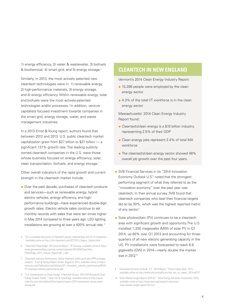1) energy efficiency, 2) water & wastewater, 3) biofuels & biochemical, 4) smart grid, and 5) energy storage.<sup>5</sup>

Similarly, in 2013, the most actively patented new cleantech technologies were in: 1) renewable energy, 2) high-performance materials, 3) energy storage, and 4) energy efficiency. Within renewable energy, solar and biofuels were the most actively-patented technologies and/or processes.<sup>8</sup> In addition, venture capitalists focused investment towards companies in the smart grid, energy storage, water, and waste management industries.

In a 2013 Ernst & Young report, authors found that between 2012 and 2013, U.S. public cleantech market capitalization grew from \$27 billion to \$37 billion — a significant 137% growth rate. The leading publiclyowned cleantech companies in the U.S. were those whose business focused on energy efficiency, solar, clean transportation, biofuels, and energy storage.<sup>7</sup>

Other overall indicators of the rapid growth and current strength in the cleantech market include:

- Over the past decade, purchases of cleantech products and services—such as renewable energy, hybrid electric vehicles, energy efficiency, and highperformance buildings—have experienced double-digit growth rates. Electric vehicle sales continue to set monthly records with sales that were ten times higher in May 2014 compared to three years ago. LED lighting installations are growing at over a 400% annual rate. <sup>8</sup>
- 5 "For a complete discussion of Cleantech group's methodology and list of companies. Available online at http://info.cleantech.com/GCT2013\_Report\_Submit.html
- 6 "CleanTech PatentEdge: 2013 Annual Report," IP Checkup, available online at http:// www.greenpatentblog.com/wp-content/uploads/2014/04/CleanTech\_ PatentEdge\_2013\_Annual\_Report.pdf\_+.pdf
- 7 "Cleantech Industry Performance: Global cleantech public pure-play (PPP) company analysis," Ernst & Young Global Limited, August 8, 2013, available online at http:// www.ey.com/Publication/vwLUAssets/EY\_Cleantech\_industry\_performance/\$FILE/ EY-Cleantech-industry-performance.pdf
- 8 "U.S. Homeowners on Clean Energy: A National Survey: 2014 Poll Results & Clean Energy Growth Trends," Solar City & CleanEdge, available online at http://www. solarcity.com/sites/default/files/reports/reports-2014-homeowner-survey-cleanenergy.pdf

## **CLEANTECH IN NEW ENGLAND**

Vermont's 2014 Clean Energy Industry Report:

- $\bullet$  15,286 people were employed by the clean energy sector.
- 4.3% of the total VT workforce is in the clean energy sector

Massachusetts' 2014 Clean Energy Industry Report found:

- Cleantech/clean energy is a \$10 billion industry, representing 2.5% of their GDP
- Clean energy jobs represent 2.4% of total MA workforce
- $\bullet$  The cleantech/clean energy sector showed 48% overall job growth over the past four years.
- SVB Financial Services in its "2014 Innovation Economy Outlook U.S." noted that the strongest performing segment of what they referred to as the "innovation economy" over the past year was cleantech. In their annual survey, SVB found that cleantech companies who beat their financial targets did so by 30%, which was the highest reported metric of any sector.<sup>9</sup>
- $\bullet$  Solar photovoltaic (PV) continues to be a cleantech area with significant growth and opportunity.The U.S. installed 1,330 megawatts (MW) of solar PV in Q1 2014, up 80% over Q1 2013 and accounting for threequarters of all new electric generating capacity in the US. PV installations were forecasted to reach 6.6 gigawatts (GW) in 2014—nearly double the market size in 2012.<sup>10</sup>
- 9 "Innovation Economy Outlook, U.S.: 2014 Report," Silicon Valley Bank, 2014, available online at http://www.svb.com/pdfs/ieo/svb\_ieo\_us\_report\_2014.pdf10"
- 10 "Solar Market Insight Report 2014 Q1," Solar Energy Industries Association, 2014, available online at http://www.seia.org/research-resources/ solar-market-insight-report-2014-q1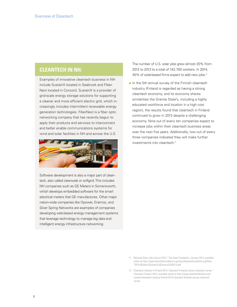## **CLEANTECH IN NH:**

Examples of innovative cleantech business in NH include SustainX located in Seabrook and Fiber-Next located in Concord. SustainX is a provider of grid-scale energy storage solutions for supporting a cleaner and more efficient electric grid, which increasingly includes intermittent renewable energy generation technologies. FiberNext is a fiber optic networking company that has recently begun to apply their products and services to interconnect and better enable communications systems for wind and solar facilities in NH and across the U.S.



Software development is also a major part of cleantech, also called cleanweb or softgrid. This includes NH companies such as GE Meters in Somersworth, which develops embedded software for the smart electrical meters that GE manufactures. Other major nation-wide companies like Opower, Enernoc, and Silver Spring Networks are examples of companies developing web-based energy management systems that leverage technology to manage big data and intelligent energy infrastructure networking.

The number of U.S. solar jobs grew almost 20% from 2012 to 2013 to a total of 142,700 workers. In 2014, 45% of solar-based firms expect to add new jobs.<sup>11</sup>

 $\bullet$  In the 5th annual survey of the Finnish cleantech industry (Finland is regarded as having a strong cleantech economy, and its economy shares similarities the Granite State's, including a highly educated workforce and location in a high cost region), the results found that cleantech in Finland continued to grow in 2013 despite a challenging economy. Nine out of every ten companies expect to increase jobs within their cleantech business areas over the next five years. Additionally, two out of every three companies indicated they will make further investments into cleantech.<sup>12</sup>

- 11 "National Solar Jobs Census 2013," The Solar Foundation, January 2014, available online at http://www.thesolarfoundation.org/sites/thesolarfoundation.org/files/ TSF%20Solar%20Jobs%20Census%202013.pdf
- 12 "Cleantech industry in Finland 2014: Cleantech Finland's annual cleantech survey ," Cleantech Finland, 2014, available online at http://www.cleantechfinland.com/ content/cleantech-industry-finland-2014-cleantech-finlands-annual-cleantechsurvey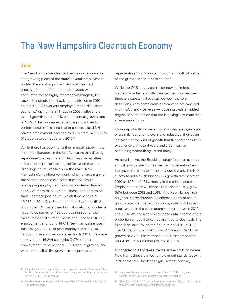## The New Hampshire Cleantech Economy

#### **Jobs**

The New Hampshire cleantech economy is a diverse and growing piece of the state's overall employment profile. The most significant study of cleantech employment in the state in recent years was conducted by the highly-regarded Washington, DC research institute The Brookings Institution in 2010. It counted 12,886 workers employed in the NH "clean economy," up from 8,971 jobs in 2003, reflecting an overall growth rate of 44% and an annual growth rate of 5.4%.<sup>13</sup> This was an especially significant sector performance considering that in contrast, total NH private employment declined by 1.3% from 520,500 to 513,500 between 2003 and 2010.<sup>14</sup>

While there has been no further in-depth study in the economic literature in the last five years that directly reproduces that estimate in New Hampshire, other state studies present strong confirmation that the Brookings figure was likely on the mark. New Hampshire's neighbor Vermont, which shares many of the same economic characteristics and has an overlapping employment pool, conducted a detailed survey of more than 1,450 businesses to determine their cleantech jobs figure, which they pegged at 15,286 in 2014. The Bureau of Labor Statistics (BLS) within the U.S. Department of Labor also conducted a nationwide survey of 120,000 businesses for their measurement of "Green Goods and Services" (GGS) employment and found 14,011 New Hampshire jobs in this category (2.3% of total employment) in 2010, 12,309 of them in the private sector. In 2011, the same survey found 16,244 such jobs (2.7% of total employment), representing 15.9% annual growth, and with almost all of the growth in the private sector

representing 15.9% annual growth, and with almost all of the growth in the private sector.<sup>15</sup>

While the GGS survey data is somewhat limited as a way to characterize strictly cleantech employment there is a substantial overlap between the two definitions, with some areas of cleantech not captured within GGS and vice versa — it does provide an added degree of confirmation that the Brookings estimate was a reasonable figure.

More importantly, however, by providing multi-year data of a similar set of employers and industries, it gives an indication of the kind of growth that the sector has been experiencing in recent years and a pathway to estimating where things stand today.

As noted above, the Brookings study found an average annual growth rate for cleantech employment in New Hampshire of 5.4% over the previous 8 years. The BLS survey found a much higher GGS growth rate between 2010 and 2011 of 16%, mostly in the private sector. Employment in New Hampshire's solar industry grew 68% between 2012 and 2013.<sup>8</sup> And New Hampshire's neighbor Massachusetts experienced a robust annual growth rate over the last four years, with 48% higher employment in the clean energy sector between 2010 and 2014. We can also look at these data in terms of the proportion of jobs that can be ascribed to cleantech. The Brookings study found the figure to be 2.0% in 2010. The NH GGS figure in 2010 was 2.4% and in 2011 had growth to 2.7%. For Vermont in 2014 that proportion was 4.3%. In Massachusetts it was 2.4%.

In considering all of these trends and estimating where New Hampshire cleantech employment stands today, it is clear that the Brookings figure almost certainly

<sup>13</sup> "Sizing the Green Economy: A National and Regional Green Jobs Assessment." The Brookings Institution, 2011, available online at http://www.brookings.edu/research/ reports/2011/07/13-clean-economy.

<sup>14</sup> Based on data obtained from the U.S. Bureau of Labor Statistics Quarterly Census of Employment & Wages

<sup>15</sup> http://www.bls.gov/news.release/ggqcew.t04.htm. The GGS survey was discontinued after 2011 due to budget cuts under sequestration.

<sup>16</sup> "State Solar Jobs 2013," The Solar Foundation, November 2013, available online at http://thesolarfoundation.org/solarstates/new-hampshire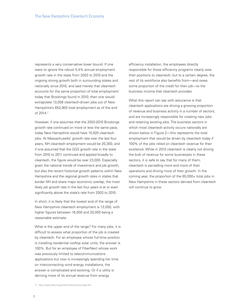represents a very conservative lower bound. If one were to ignore the robust 5.4% annual employment growth rate in the state from 2003 to 2010 and the ongoing strong growth both in surrounding states and nationally since 2010, and said merely that cleantech accounts for the same proportion of total employment today that Brookings found in 2010, then one would extrapolate 13,058 cleantech-driven jobs out of New Hampshire's 652,900 total employment as of the end of 2014.<sup>17</sup>

However, if one assumes that the 2003-2010 Brookings growth rate continued on more or less the same pace, today New Hampshire would have 15,920 cleantech jobs. At Massachusetts' growth rate over the last four years, NH cleantech employment would be 20,300, and if one assumed that the GGS growth rate in the state from 2010 to 2011 continued and applied broadly to cleantech, the figure would be over 23,000. Especially given the national trends of investment and job growth, but also the recent historical growth patterns within New Hampshire and the regional growth rates in states that border NH and share major economic overlap, the most likely job growth rate in the last four years is at or even significantly above the state's rate from 2003 to 2010.

In short, it is likely that the lowest end of the range of New Hampshire cleantech employment is 13,000, with higher figures between 16,000 and 20,000 being a reasonable estimate.

What is the upper end of the range? For many jobs, it is difficult to assess what proportion of the job is created by cleantech. For an employee whose full-time position is installing residential rooftop solar units, the answer is 100%. But for an employee of FiberNext whose work was previously limited to telecommunications applications but now is increasingly spending her time on interconnecting wind energy installations, the answer is complicated and evolving. Or if a utility is deriving more of its annual revenue from energy

efficiency installation, the employees directly responsible for those efficiency programs clearly owe their positions to cleantech, but to a certain degree, the rest of its workforce also benefits from—and owes some proportion of the credit for their job—to the business income that cleantech provides.

What this report can say with assurance is that cleantech applications are driving a growing proportion of revenue and business activity in a number of sectors, and are increasingly responsible for creating new jobs and retaining existing jobs. The business sectors in which most cleantech activity occurs nationally are shown below in Figure 2—this represents the total employment that would be driven by cleantech today if 100% of the jobs relied on cleantech revenue for their existence. While in 2015 cleantech is clearly not driving the bulk of revenue for some businesses in these sectors, it is safe to say that for many of them, cleantech is pervading more and more of their operations and driving more of their growth. In the coming year, the proportion of the 65,000+ total jobs in New Hampshire in these sectors derived from cleantech will continue to grow.

17 http://www.nhes.nh.gov/elmi/statistics/ces-data.htm.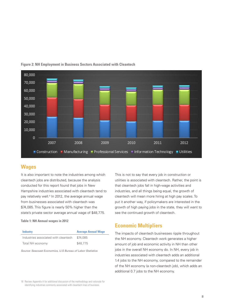

#### **Figure 2: NH Employment in Business Sectors Associated with Cleantech**

### **Wages**

It is also important to note the industries among which cleantech jobs are distributed, because the analysis conducted for this report found that jobs in New Hampshire industries associated with cleantech tend to pay relatively well.<sup>18</sup> In 2012, the average annual wage from businesses associated with cleantech was \$74,085. This figure is nearly 50% higher than the state's private sector average annual wage of \$48,775.

**Table 1: NH Annual wages in 2012**

| <b>Industry</b>                      | <b>Average Annual Wage</b> |
|--------------------------------------|----------------------------|
| Industries associated with cleantech | \$74.085                   |
| Total NH economy                     | \$48,775                   |

*Source: Seacoast Economics, U.S Bureau of Labor Statistics* 

This is not to say that every job in construction or utilities is associated with cleantech. Rather, the point is that cleantech jobs fall in high-wage activities and industries, and all things being equal, the growth of cleantech will mean more hiring at high pay scales. To put it another way, if policymakers are interested in the growth of high paying jobs in the state, they will want to see the continued growth of cleantech.

### **Economic Multipliers**

The impacts of cleantech businesses ripple throughout the NH economy. Cleantech work generates a higher amount of job and economic activity in NH than other jobs in the overall NH economy do. In NH, every job in industries associated with cleantech adds an additional 1.4 jobs to the NH economy, compared to the remainder of the NH economy (a non-cleantech job), which adds an additional 0.7 jobs to the NH economy.

18 Review Appendix A for additional discussion of the methodology and rationale for identifying industries commonly associated with cleantech lines of business.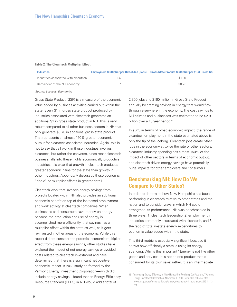#### **Table 2: The Cleantech Multiplier Effect**

| <b>Industries</b>                    |    | <b>Employment Multiplier per Direct Job (Jobs) Gross State Product Multiplier per \$1 of Direct GSP</b> |
|--------------------------------------|----|---------------------------------------------------------------------------------------------------------|
| Industries associated with cleantech |    | \$1.00                                                                                                  |
| Remainder of the NH economy          | 07 | \$0.70                                                                                                  |

*Source: Seacoast Economics*

Gross State Product (GSP) is a measure of the economic value added by business activities carried out within the state. Every \$1 in gross state product produced by industries associated with cleantech generates an additional \$1 in gross state product in NH. This is very robust compared to all other business sectors in NH that only generate \$0.70 in additional gross state product. That represents an almost 150% greater economic output for cleantech-associated industries. Again, this is not to say that all work in these industries involves cleantech, but rather the converse, since most cleantech business falls into these highly economically productive industries, it is clear that growth in cleantech produces greater economic gains for the state than growth in other industries. Appendix A discusses these economic "ripple" or multiplier effects in greater detail.

Cleantech work that involves energy savings from projects located within NH also provides an additional economic benefit on top of the increased employment and work activity at cleantech companies. When businesses and consumers save money on energy because the production and use of energy is accomplished more efficiently, that savings has a multiplier effect within the state as well, as it gets re-invested in other areas of the economy. While this report did not consider the potential economic multiplier effect from these energy savings, other studies have explored the impact of net energy savings or avoided costs related to cleantech investment and have determined that there is a significant net positive economic impact. A 2013 study performed by the Vermont Energy Investment Corporation—which did include energy savings—found that an Energy Efficiency Resource Standard (EERS) in NH would add a total of

2,300 jobs and \$160 million in Gross State Product annually by creating savings in energy that would flow through elsewhere in the economy. The cost savings to NH citizens and businesses was estimated to be \$2.9 billion over a 15 year period.<sup>19</sup>

In sum, in terms of broad economic impact, the range of cleantech employment in the state estimated above is only the tip of the iceberg. Cleantech jobs create other jobs in the economy at twice the rate of other sectors, cleantech industry spending has almost 150% of the impact of other sectors in terms of economic output, and cleantech-driven energy savings have potentially huge impacts for other employers and consumers.

### **Benchmarking NH: How Do We Compare to Other States?**

In order to determine how New Hampshire has been performing in cleantech relative to other states and the nation and to consider ways in which NH could strengthen its performance, NH was benchmarked in three ways: 1) cleantech leadership, 2) employment in industries commonly associated with cleantech, and 3) the ratio of total in-state energy expenditures to economic value added within the state.

This third metric is especially significant because it shows how efficiently a state is using its energy spending. Why is this important? Energy is not like other goods and services. It is not an end product that is consumed for its own sake: rather, it is an intermediate

<sup>19</sup> "Increasing Energy Efficiency in New Hampshire: Realizing Our Potential," Vermont Energy Investment Corporation, November 15, 2013, available online at http:// www.nh.gov/oep/resource-library/energy/documents/nh\_eers\_study2013-11-13. pdf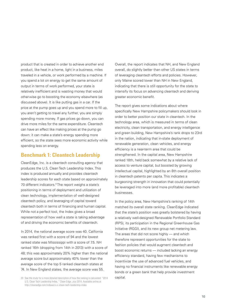product that is created in order to achieve another end product, like heat in a home, light in a business, miles traveled in a vehicle, or work performed by a machine. If you spend a lot on energy to get the same amount of output in terms of work performed, your state is relatively inefficient and is wasting money that would otherwise go to boosting the economy elsewhere (as discussed above). It is like putting gas in a car. If the price at the pump goes up and you spend more to fill up, you aren't getting to travel any further, you are simply spending more money. If gas prices go down, you can drive more miles for the same expenditure. Cleantech can have an effect like making prices at the pump go down: it can make a state's energy spending more efficient, so the state sees more economic activity while spending less on energy.

#### **Benchmark 1: Cleantech Leadership**

CleanEdge, Inc. is a cleantech consulting agency that produces the U.S. Clean Tech Leadership Index. This index is produced annually and provides cleantech leadership scores for each state based on approximately 70 different indicators.<sup>®</sup> The report weighs a state's positioning in terms of deployment and utilization of clean technology, implementation of well-designed cleantech policy, and leveraging of capital toward cleantech both in terms of financing and human capital. While not a perfect tool, the Index gives a broad representation of how well a state is taking advantage of and driving the economic benefits of cleantech.

In 2014, the national average score was 40. California was ranked first with a score of 94 and the lowest ranked state was Mississippi with a score of 7.5. NH ranked 16th (dropping from 14th in 2013) with a score of 48; this was approximately 20% higher than the national average score but approximately 40% lower than the average score of the top 5 ranked cleantech states at 74. In New England states, the average score was 55.

Overall, the report indicates that NH, and New England overall, do slightly better than other US states in terms of leveraging cleantech efforts and policies. However, only Maine scored lower than NH in New England, indicating that there is still opportunity for the state to intensify its focus on advancing cleantech and deriving greater economic benefit.

The report gives some indications about where specifically New Hampshire policymakers should look in order to better position our state in cleantech. In the technology area, which is measured in terms of clean electricity, clean transportation, and energy intelligence and green building, New Hampshire's rank drops to 23rd in the nation, indicating that in-state deployment of renewable generation, clean vehicles, and energy efficiency is a near-term area that could be strengthened. In the capital area, New Hampshire ranked 18th, held back somewhat by a relative lack of access to venture capital, but boosted by growing intellectual capital, highlighted by an 8th overall position in cleantech patents per capita. This indicates a burgeoning strength in innovation that could potentially be leveraged into more (and more profitable) cleantech businesses.

In the policy area, New Hampshire's ranking of 14th matched its overall state ranking. CleanEdge indicated that the state's position was greatly bolstered by having a relatively well-designed Renewable Portfolio Standard (RPS), its participation in the Regional Greenhouse Gas Initiative (RGGI), and its new group net metering law. The areas that did not score highly — and which therefore represent opportunities for the state to fashion policies that would augment cleantech and boost economic returns — included lacking an energy efficiency standard, having few mechanisms to incentivize the use of advanced fuel vehicles, and having no financial instruments like renewable energy bonds or a green bank that help provide investment capital.

<sup>20</sup> See the study for a more detailed description of how the ranking is calculated. "2014 U.S. Clean Tech Leadership Index, " Clean Edge, July 2014, Available online at http://cleanedge.com/indexes/u.s.-clean-tech-leadership-index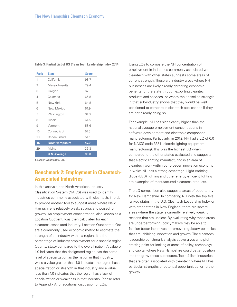| <b>Rank</b>    | <b>State</b>         | <b>Score</b> |
|----------------|----------------------|--------------|
| 1              | California           | 93.7         |
| $\overline{2}$ | Massachusetts        | 79.4         |
| 3              | Oregon               | 67           |
| 4              | Colorado             | 66.8         |
| 5              | New York             | 64.8         |
| 6              | New Mexico           | 61.9         |
| 7              | Washington           | 61.6         |
| 8              | Illinois             | 61.5         |
| 9              | Vermont              | 58.6         |
| 10             | Connecticut          | 57.3         |
| 13             | Rhode Island         | 51.1         |
| 16             | <b>New Hampshire</b> | 47.9         |
| 29             | Maine                | 36.3         |
|                | <b>U.S. Average</b>  | 39.8         |

#### **Table 3: Partial List of US Clean Tech Leadership Index 2014**

*Source: CleanEdge, Inc.*

## **Benchmark 2: Employment in Cleantech-Associated Industries**

In this analysis, the North American Industry Classification System (NAICS) was used to identify industries commonly associated with cleantech, in order to provide another tool to suggest areas where New Hampshire is relatively weak, strong, and poised for growth. An employment concentration, also known as a Location Quotient, was then calculated for each cleantech-associated industry. Location Quotients (LQs) are a commonly used economic metric to estimate the strength of an industry within a region. It is the percentage of industry employment for a specific region (county, state) compared to the overall nation. A value of 1.0 indicates that the designated region has the same level of specialization as the nation in that industry, while a value greater than 1.0 indicates the region has a specialization or strength in that industry and a value less than 1.0 indicates that the region has a lack of specialization or weakness in that industry. Please refer to Appendix A for additional discussion of LQs.

Using LQs to compare the NH concentration of employment in industries commonly associated with cleantech with other states suggests some areas of current strength. These are industry areas where NH businesses are likely already garnering economic benefits for the state through exporting cleantech products and services, or where their baseline strength in that sub-industry shows that they would be well positioned to compete in cleantech applications if they are not already doing so.

For example, NH has significantly higher than the national average employment concentrations in software development and electronic component manufacturing. Particularly, in 2012, NH had a LQ of 6.0 for NAICS code 3351 (electric lighting equipment manufacturing). This was the highest LQ when compared to the other states evaluated and suggests that electric lighting manufacturing is an area of cleantech work within our broader innovation economy in which NH has a strong advantage. Light emitting diode (LED) lighting and other energy efficient lighting are examples of manufactured cleantech products.

The LQ comparison also suggests areas of opportunity for New Hampshire. In comparing NH with the top five ranked states in the U.S. Cleantech Leadership Index or with other states in New England, there are several areas where the state is currently relatively weak for reasons that are unclear. By evaluating why these areas are underperforming, policymakers may be able to fashion better incentives or remove regulatory obstacles that are inhibiting innovation and growth. The cleantech leadership benchmark analysis above gives a helpful starting point for looking at areas of policy, technology, and capital where New Hampshire could better position itself to grow these subsectors. Table 4 lists industries that are often associated with cleantech where NH has particular strengths or potential opportunities for further growth.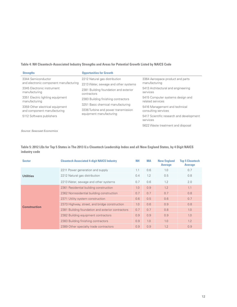#### **Table 4: NH Cleantech-Associated Industry Strengths and Areas for Potential Growth Listed by NAICS Code**

| <b>Strengths</b>                                  | <b>Opportunities for Growth</b>                      |                                                      |
|---------------------------------------------------|------------------------------------------------------|------------------------------------------------------|
| 3344 Semiconductor                                | 2212 Natural gas distribution                        | 3364 Aerospace product and parts                     |
| and electronic component manufacturing            | 2213 Water, sewage and other systems                 | manufacturing                                        |
| 3345 Electronic instrument<br>manufacturing       | 2381 Building foundation and exterior<br>contractors | 5413 Architectural and engineering<br>services       |
| 3351 Electric lighting equipment<br>manufacturing | 2383 Building finishing contractors                  | 5415 Computer systems design and<br>related services |
| 3359 Other electrical equipment                   | 3251 Basic chemical manufacturing                    | 5416 Management and technical                        |
| and component manufacturing                       | 3336 Turbine and power transmission                  | consulting services                                  |
| 5112 Software publishers                          | equipment manufacturing                              | 5417 Scientific research and development<br>services |
|                                                   |                                                      | 5622 Waste treatment and disposal                    |

*Source: Seacoast Economics*

**Table 5: 2012 LQs for Top 5 States in The 2013 U.s Cleantech Leadership Index and all New England States, by 4 Digit NAICS industry code**

| <b>Sector</b>       | <b>Cleantech Associated 4-digit NAICS Industry</b> | <b>NH</b> | <b>MA</b> | <b>New England</b><br><b>Average</b> | <b>Top 5 Cleantech</b><br><b>Average</b> |
|---------------------|----------------------------------------------------|-----------|-----------|--------------------------------------|------------------------------------------|
|                     | 2211 Power generation and supply                   | 1.1       | 0.6       | 1.0                                  | 0.7                                      |
| <b>Utilities</b>    | 2212 Natural gas distribution                      | 0.4       | 1.2       | 0.5                                  | 0.8                                      |
|                     | 2213 Water, sewage and other systems               | 0.7       | 0.6       | 1.2                                  | 2.0                                      |
|                     | 2361 Residential building construction             | 1.0       | 0.9       | 1.2                                  | 1.1                                      |
|                     | 2362 Nonresidential building construction          | 0.7       | 0.7       | 0.7                                  | 0.8                                      |
|                     | 2371 Utility system construction                   | 0.6       | 0.5       | 0.6                                  | 0.7                                      |
| <b>Construction</b> | 2373 Highway, street, and bridge construction      | 1.0       | 0.6       | 0.9                                  | 0.8                                      |
|                     | 2381 Building foundation and exterior contractors  | 0.7       | 0.7       | 0.8                                  | 1.0                                      |
|                     | 2382 Building equipment contractors                | 0.9       | 0.9       | 0.9                                  | 1.0                                      |
|                     | 2383 Building finishing contractors                | 0.9       | 1.0       | 1.0                                  | 1.2                                      |
|                     | 2389 Other specialty trade contractors             | 0.9       | 0.9       | 1.2                                  | 0.9                                      |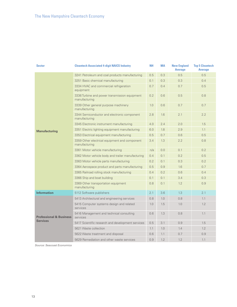| <b>Sector</b>                      | <b>Cleantech Associated 4-digit NAICS Industry</b>             | <b>NH</b> | <b>MA</b> | <b>New England</b><br><b>Average</b> | <b>Top 5 Cleantech</b><br><b>Average</b> |
|------------------------------------|----------------------------------------------------------------|-----------|-----------|--------------------------------------|------------------------------------------|
|                                    | 3241 Petroleum and coal products manufacturing                 | 0.5       | 0.3       | 0.5                                  | 0.5                                      |
|                                    | 3251 Basic chemical manufacturing                              | 0.1       | 0.3       | 0.3                                  | 0.4                                      |
|                                    | 3334 HVAC and commercial refrigeration<br>equipment            | 0.7       | 0.4       | 0.7                                  | 0.5                                      |
|                                    | 3336 Turbine and power transmission equipment<br>manufacturing | 0.2       | 0.6       | 0.5                                  | 0.8                                      |
|                                    | 3339 Other general purpose machinery<br>manufacturing          | 1.0       | 0.6       | 0.7                                  | 0.7                                      |
|                                    | 3344 Semiconductor and electronic component<br>manufacturing   | 2.8       | 1.6       | 2.1                                  | 2.2                                      |
|                                    | 3345 Electronic instrument manufacturing                       | 4.0       | 2.4       | 2.0                                  | 1.5                                      |
| <b>Manufacturing</b>               | 3351 Electric lighting equipment manufacturing                 | 6.0       | 1.8       | 2.9                                  | 1.1                                      |
|                                    | 3353 Electrical equipment manufacturing                        | 0.5       | 0.7       | 0.6                                  | 0.5                                      |
|                                    | 3359 Other electrical equipment and component<br>manufacturing | 3.4       | 1.3       | 2.2                                  | 0.8                                      |
|                                    | 3361 Motor vehicle manufacturing                               | n/a       | 0.0       | 0.1                                  | 0.2                                      |
|                                    | 3362 Motor vehicle body and trailer manufacturing              | 0.4       | 0.1       | 0.2                                  | 0.5                                      |
|                                    | 3363 Motor vehicle parts manufacturing                         | 0.2       | 0.1       | 0.3                                  | 0.2                                      |
|                                    | 3364 Aerospace product and parts manufacturing                 | 0.5       | 0.9       | 1.6                                  | 0.7                                      |
|                                    | 3365 Railroad rolling stock manufacturing                      | 0.4       | 0.2       | 0.6                                  | 0.4                                      |
|                                    | 3366 Ship and boat building                                    | 0.1       | 0.1       | 3.4                                  | 0.3                                      |
|                                    | 3369 Other transportation equipment<br>manufacturing           | 0.8       | 0.1       | 1.2                                  | 0.9                                      |
| <b>Information</b>                 | 5112 Software publishers                                       | 2.1       | 3.6       | 1.3                                  | 2.1                                      |
|                                    | 5413 Architectural and engineering services                    | 0.8       | 1.0       | 0.8                                  | 1.1                                      |
|                                    | 5415 Computer systems design and related<br>services           | 1.0       | 1.5       | 1.0                                  | 1.2                                      |
| <b>Professional &amp; Business</b> | 5416 Management and technical consulting<br>services           | 0.6       | 1.3       | 0.8                                  | 1.1                                      |
| <b>Services</b>                    | 5417 Scientific research and development services              | 0.5       | 3.1       | 0.9                                  | 1.5                                      |
|                                    | 5621 Waste collection                                          | 1.1       | 1.0       | 1.4                                  | 1.2                                      |
|                                    | 5622 Waste treatment and disposal                              | 0.6       | 1.1       | 0.7                                  | 0.9                                      |
|                                    | 5629 Remediation and other waste services                      | 0.9       | 1.2       | 1.2                                  | 1.1                                      |

*Source: Seacoast Economics*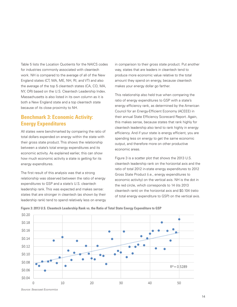Table 5 lists the Location Quotients for the NAICS codes for industries commonly associated with cleantech work. NH is compared to the average of all of the New England states (CT, MA, ME, NH, RI, and VT) and also the average of the top 5 cleantech states (CA, CO, MA, NY, OR) based on the U.S. Cleantech Leadership Index. Massachusetts is also listed in its own column as it is both a New England state and a top cleantech state because of its close proximity to NH.

### **Benchmark 3: Economic Activity: Energy Expenditures**

All states were benchmarked by comparing the ratio of total dollars expended on energy within the state with their gross state product. This shows the relationship between a state's total energy expenditures and its economic activity. As explained earlier, this can show how much economic activity a state is getting for its energy expenditures.

The first result of this analysis was that a strong relationship was observed between the ratio of energy expenditures to GSP and a state's U.S. cleantech leadership rank. This was expected and makes sense: states that are stronger in cleantech (as shown by their leadership rank) tend to spend relatively less on energy

in comparison to their gross state product. Put another way, states that are leaders in cleantech tend to produce more economic value relative to the total amount they spend on energy, because cleantech makes your energy dollar go farther.

This relationship also held true when comparing the ratio of energy expenditures to GSP with a state's energy efficiency rank, as determined by the American Council for an Energy-Efficient Economy (ACEEE) in their annual State Efficiency Scorecard Report. Again, this makes sense, because states that rank highly for cleantech leadership also tend to rank highly in energy efficiency. And if your state is energy efficient, you are spending less on energy to get the same economic output, and therefore more on other productive economic areas.

Figure 3 is a scatter plot that shows the 2013 U.S. cleantech leadership rank on the horizontal axis and the ratio of total 2012 in-state energy expenditures to 2012 Gross State Product (i.e., energy expenditures to economic activity) on the vertical axis. NH is the dot in the red circle, which corresponds to 14 (its 2013 cleantech rank) on the horizontal axis and \$0.104 (ratio of total energy expenditure to GSP) on the vertical axis.



**Figure 3: 2013 U.S. Cleantech Leadership Rank vs. the Ratio of Total State Energy Expenditure to GSP**

*Source: Seacoast Economics*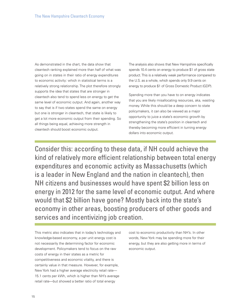As demonstrated in the chart, the data show that cleantech ranking explained more than half of what was going on in states in their ratio of energy expenditures to economic activity: which in statistical terms is a relatively strong relationship. The plot therefore strongly supports the idea that states that are stronger in cleantech also tend to spend less on energy to get the same level of economic output. And again, another way to say that is if two states spend the same on energy but one is stronger in cleantech, that state is likely to get a lot more economic output from their spending. So all things being equal, achieving more strength in cleantech should boost economic output.

The analysis also shows that New Hampshire specifically spends 10.4 cents on energy to produce \$1 of gross state product. This is a relatively weak performance compared to the U.S. as a whole, which spends only 9.9 cents on energy to produce \$1 of Gross Domestic Product (GDP).

Spending more than you have to on energy indicates that you are likely misallocating resources, aka, wasting money. While this should be a deep concern to state policymakers, it can also be viewed as a major opportunity to juice a state's economic growth by strengthening the state's position in cleantech and thereby becoming more efficient in turning energy dollars into economic output.

Consider this: according to these data, if NH could achieve the kind of relatively more efficient relationship between total energy expenditures and economic activity as Massachusetts (which is a leader in New England and the nation in cleantech), then NH citizens and businesses would have spent \$2 billion less on energy in 2012 for the same level of economic output. And where would that \$2 billion have gone? Mostly back into the state's economy in other areas, boosting producers of other goods and services and incentivizing job creation.

This metric also indicates that in today's technology and knowledge-based economy, a per unit energy cost is not necessarily the determining factor for economic development. Policymakers tend to focus on the raw costs of energy in their states as a metric for competitiveness and economic vitality, and there is certainly value in that measure. However, for example, New York had a higher average electricity retail rate— 15.1 cents per kWh, which is higher than NH's average retail rate—but showed a better ratio of total energy

cost to economic productivity than NH's. In other words, New York may be spending more for their energy, but they are also getting more in terms of economic output.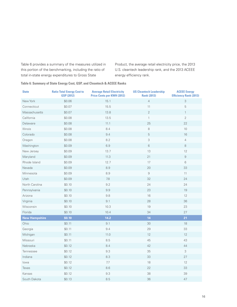Table 6 provides a summary of the measures utilized in this portion of the benchmarking, including the ratio of total in-state energy expenditures to Gross State

Product, the average retail electricity price, the 2013 U.S. cleantech leadership rank, and the 2013 ACEEE energy efficiency rank.

**Table 6: Summary of State Energy Cost, GSP, and Cleantech & ACEEE Ranks**

| <b>State</b>         | <b>Ratio Total Energy Cost to</b><br><b>GSP (2012)</b> | <b>Average Retail Electricity</b><br><b>Price Cents per KWH (2012)</b> | <b>US Cleantech Leadership</b><br><b>Rank (2013)</b> | <b>ACEEE Energy</b><br><b>Efficiency Rank (2013)</b> |
|----------------------|--------------------------------------------------------|------------------------------------------------------------------------|------------------------------------------------------|------------------------------------------------------|
| New York             | \$0.06                                                 | 15.1                                                                   | $\overline{4}$                                       | 3                                                    |
| Connecticut          | \$0.07                                                 | 15.5                                                                   | 11                                                   | 5                                                    |
| Massachusetts        | \$0.07                                                 | 13.8                                                                   | $\sqrt{2}$                                           | $\mathbf{1}$                                         |
| California           | \$0.08                                                 | 13.5                                                                   | $\mathbf{1}$                                         | $\overline{2}$                                       |
| Delaware             | \$0.08                                                 | 11.1                                                                   | 25                                                   | 22                                                   |
| Illinois             | \$0.08                                                 | 8.4                                                                    | 8                                                    | 10                                                   |
| Colorado             | \$0.08                                                 | 9.4                                                                    | $\mathbf 5$                                          | 16                                                   |
| Oregon               | \$0.08                                                 | 8.2                                                                    | 3                                                    | $\overline{4}$                                       |
| Washington           | \$0.09                                                 | 6.9                                                                    | $6\,$                                                | 8                                                    |
| New Jersey           | \$0.09                                                 | 13.7                                                                   | 13                                                   | 12                                                   |
| Maryland             | \$0.09                                                 | 11.3                                                                   | 21                                                   | $\hbox{ }^{\rm 9}$                                   |
| Rhode Island         | \$0.09                                                 | 12.7                                                                   | 17                                                   | 6                                                    |
| Nevada               | \$0.09                                                 | 8.9                                                                    | 20                                                   | 33                                                   |
| Minnesota            | \$0.09                                                 | 8.9                                                                    | 9                                                    | 11                                                   |
| Utah                 | \$0.09                                                 | 7.8                                                                    | 32                                                   | 24                                                   |
| North Carolina       | \$0.10                                                 | 9.2                                                                    | 24                                                   | 24                                                   |
| Pennsylvania         | \$0.10                                                 | 9.9                                                                    | 23                                                   | 19                                                   |
| Arizona              | \$0.10                                                 | 9.8                                                                    | 16                                                   | 12                                                   |
| Virginia             | \$0.10                                                 | 9.1                                                                    | 28                                                   | 36                                                   |
| Wisconsin            | \$0.10                                                 | 10.3                                                                   | 19                                                   | 23                                                   |
| Florida              | \$0.10                                                 | 10.4                                                                   | 34                                                   | 27                                                   |
| <b>New Hampshire</b> | \$0.10                                                 | 14.2                                                                   | 14                                                   | 21                                                   |
| Ohio                 | \$0.11                                                 | 9.1                                                                    | 30                                                   | 18                                                   |
| Georgia              | \$0.11                                                 | 9.4                                                                    | 29                                                   | 33                                                   |
| Michigan             | \$0.11                                                 | 11.0                                                                   | 12                                                   | 12                                                   |
| Missouri             | \$0.11                                                 | 8.5                                                                    | 45                                                   | 43                                                   |
| Nebraska             | \$0.12                                                 | 8.4                                                                    | 42                                                   | 44                                                   |
| Tennessee            | \$0.12                                                 | 9.3                                                                    | 35                                                   | 3                                                    |
| Indiana              | \$0.12                                                 | 8.3                                                                    | 33                                                   | 27                                                   |
| lowa                 | \$0.12                                                 | 7.7                                                                    | 18                                                   | 12                                                   |
| Texas                | \$0.12                                                 | 8.6                                                                    | 22                                                   | 33                                                   |
| Kansas               | \$0.12                                                 | 9.3                                                                    | 38                                                   | 39                                                   |
| South Dakota         | \$0.13                                                 | 8.5                                                                    | 36                                                   | 47                                                   |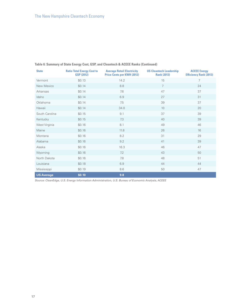| <b>State</b>      | <b>Ratio Total Energy Cost to</b><br><b>GSP (2012)</b> | <b>Average Retail Electricity</b><br><b>Price Cents per KWH (2012)</b> | <b>US Cleantech Leadership</b><br><b>Rank (2013)</b> | <b>ACEEE</b> Energy<br><b>Efficiency Rank (2013)</b> |
|-------------------|--------------------------------------------------------|------------------------------------------------------------------------|------------------------------------------------------|------------------------------------------------------|
| Vermont           | \$0.13                                                 | 14.2                                                                   | 15                                                   | 7                                                    |
| New Mexico        | \$0.14                                                 | 8.8                                                                    | $\overline{7}$                                       | 24                                                   |
| Arkansas          | \$0.14                                                 | 7.6                                                                    | 47                                                   | 37                                                   |
| Idaho             | \$0.14                                                 | 6.9                                                                    | 27                                                   | 31                                                   |
| Oklahoma          | \$0.14                                                 | 7.5                                                                    | 39                                                   | 37                                                   |
| Hawaii            | \$0.14                                                 | 34.0                                                                   | 10                                                   | 20                                                   |
| South Carolina    | \$0.15                                                 | 9.1                                                                    | 37                                                   | 39                                                   |
| Kentucky          | \$0.15                                                 | 7.3                                                                    | 40                                                   | 39                                                   |
| West Virginia     | \$0.16                                                 | 8.1                                                                    | 49                                                   | 46                                                   |
| Maine             | \$0.16                                                 | 11.8                                                                   | 26                                                   | 16                                                   |
| Montana           | \$0.16                                                 | 8.2                                                                    | 31                                                   | 29                                                   |
| Alabama           | \$0.16                                                 | 9.2                                                                    | 41                                                   | 39                                                   |
| Alaska            | \$0.16                                                 | 16.3                                                                   | 46                                                   | 47                                                   |
| Wyoming           | \$0.16                                                 | 7.2                                                                    | 43                                                   | 50                                                   |
| North Dakota      | \$0.16                                                 | 7.8                                                                    | 48                                                   | 51                                                   |
| Louisiana         | \$0.18                                                 | 6.9                                                                    | 44                                                   | 44                                                   |
| Mississippi       | \$0.19                                                 | 8.6                                                                    | 50                                                   | 47                                                   |
| <b>US Average</b> | \$0.10                                                 | 9.8                                                                    |                                                      |                                                      |

#### **Table 6: Summary of State Energy Cost, GSP, and Cleantech & ACEEE Ranks (Continued)**

*Source: CleanEdge, U.S. Energy Information Administration, U.S. Bureau of Economic Analysis, ACEEE*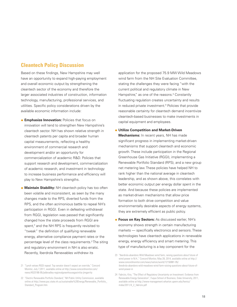### **Cleantech Policy Discussion**

Based on these findings, New Hampshire may well have an opportunity to expand high-paying employment and overall economic output by strengthening the cleantech sector of the economy and therefore the larger associated industries of construction, information technology, manufacturing, professional services, and utilities. Specific policy considerations driven by the available economic information include:

- **Emphasize Innovation: Policies that focus on** innovation will tend to strengthen New Hampshire's cleantech sector. NH has shown relative strength in cleantech patents per capita and broader human capital measurements, reflecting a healthy environment of commercial research and development and/or an opportunity for commercialization of academic R&D. Policies that support research and development, commercialization of academic research, and investment in technology to increase business performance and efficiency will play to New Hampshire's strengths.
- **Maintain Stability: NH cleantech policy has too often** been volatile and inconsistent, as seen by the many changes made to the RPS, diverted funds from the RPS, and the often acrimonious battle to repeal NH's participation in RGGI. Even in defeating withdrawal from RGGI, legislation was passed that significantly changed how the state proceeds from RGGI are spent,<sup>21</sup> and the NH RPS is frequently revisited to "tweak" the definition of qualifying renewable energy, alternative compliance payment rates or the percentage level of the class requirements.<sup> $n$ </sup>The siting and regulatory environment in NH is also erratic. Recently, Iberdrola Renewables withdrew its

application for the proposed 75.9 MW Wild Meadows wind farm from the NH Site Evaluation Committee, stating the challenges they were facing "with the current political and regulatory climate in New Hampshire," as one of the reasons. $28$  Constantly fluctuating regulation creates uncertainty and results in reduced private investment. $A$  Policies that provide reasonable certainty for cleantech demand incentivize cleantech-based businesses to make investments in capital equipment and employees.

- **Utilize Competition and Market-Driven Mechanisms:** In recent years, NH has made significant progress in implementing market-driven mechanisms that support cleantech and economic growth. These include participation in the Regional Greenhouse Gas Initiative (RGGI), implementing a Renewable Portfolio Standard (RPS), and a new group net metering law. These policies have helped NH to rank higher than the national average in cleantech leadership, and as shown above, this correlates with better economic output per energy dollar spent in the state. And because these policies are implemented as market-driven mechanisms that allow price formation to both drive competition and value environmentally desirable aspects of energy systems, they are extremely efficient as public policy.
- **Focus on Key Sectors:** As discussed earlier, NH's economy shows strength in certain manufacturing markets — specifically electronics and sensors. These technologies have cleantech applications in renewable energy, energy efficiency and smart metering. This type of manufacturing is a key component for the

<sup>21</sup> "Lynch vetoes RGGI repeal: Top senator doesn't expect an override," Concord Monitor, July 7,2011, available online at http://www.concordmonitor.com/ news/4533186-95/jebbradley-regionalgreenhousegasinitia-jimgarrity

<sup>22</sup> "Electric Renewable Portfolio Standard," NH Public Utility Commission, available online at http://www.puc.state.nh.us/sustainable%20Energy/Renewable\_Portfolio\_ Standard\_Program.htm

<sup>23</sup> "Iberdrola abandons Wild Meadows wind farm, raising questions about future of wind power in N.H.," Concord Monitor, May 28, 2014, available online at http:// www.concordmonitor.com/news/nation/world/12150881-95/ ibredrola-abandons-wild-meadows-wind-farm-raising-questions-about-future-ofwind-power-in

<sup>24</sup> Fabrizio, Kira, "The Effect of Regulatory Uncertainty on Investment: Evidence from Renewable Energy Generation", Fuqua School of Business, Duke University, 2011, available online at http://www-management.wharton.upenn.edu/henisz/ msbe/2011/4\_2\_fabrizio.pdf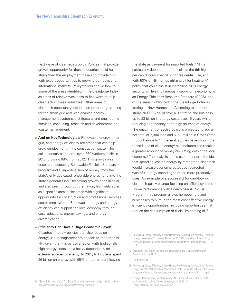next wave of cleantech growth. Policies that provide growth opportunity for these industries could help strengthen the employment base and provide NH with export opportunities to growing domestic and international markets. Policymakers should look to some of the areas identified in the CleanEdge Index as areas of relative weakness to find ways to help cleantech in these industries. Other areas of cleantech opportunity include computer programming for the smart grid and web-enabled energy management systems, architectural and engineering services, consulting, research and development, and waste management.

**And on Key Technologies:** Renewable energy, smart grid, and energy efficiency are areas that can help grow employment in the construction sector. The solar industry alone employed 860 workers in NH in 2013, growing 68% from 2012.<sup>8</sup> This growth was despite a fluctuating Renewable Portfolio Standard program and a large diversion of money from the state's only dedicated renewable energy fund into the state's general fund. The strong growth seen in solar, and also seen throughout the nation, highlights solar as a specific area in cleantech with significant opportunity for construction and professional services sector employment. Renewable energy and energy efficiency can support the local economy through cost reductions, energy savings, and energy diversification.

**e** Efficiency Can Have a Huge Economic Payoff:

Cleantech-friendly policies that also focus on energy-use management are especially important to NH, given that it is part of a region with traditionally high energy costs and a heavy dependency on external sources of energy. In 2011, NH citizens spent \$6 billion on energy with 65% of that amount leaving

the state as payment for imported fuels. $^{\text{\text{\tiny{B}}}}$  NH is particularly dependent on fuel oil, as the 6th highest per capita consumer of oil for residential use, and with 50% of NH homes utilizing oil for heating.<sup> $n$ </sup>A policy that could assist in increasing NH's energy security while simultaneously growing its economy is an Energy Efficiency Resource Standard (EERS), one of the areas highlighted in the CleanEdge Index as lacking in New Hampshire. According to a recent study, an EERS could save NH citizens and business up to \$3 billion in energy costs over 15 years while reducing dependency on foreign sources of energy. The enactment of such a policy is projected to add a net total of 2,300 jobs and \$160 million in Gross State Product annually.<sup>28</sup> In general, studies have shown that these kinds of clean energy expenditures can result in a greater amount of money circulating within the local economy.<sup>8</sup> The analysis in this paper supports the idea that spending less on energy by strengthen cleantech would increase economic output by redirected wasteful energy spending to other, more productive uses. An example of a successful forward-looking cleantech policy change focusing on efficiency is the Home Performance with Energy Star (HPwES) Program. This program allows homeowners and businesses to pursue the most cost-effective energy efficiency opportunities, including opportunities that reduce the consumption of fuels like heating oil.<sup>30</sup>

- 26 "Increasing Energy Efficiency in New Hampshire: Realizing Our Potential," Vermont Energy Investment Corporation, November 15, 2013, available online at http:// www.nh.gov/oep/resource-library/energy/documents/nh\_eers\_study2013-11-13. pdf
- 27 Calculated from energy use data available from the U.S. Energy Information Administration for 2012.
- 28 See footnote 16
- 29 "Increasing Energy Efficiency in New Hampshire: Realizing Our Potential," Vermont Energy Investment Corporation, November 15, 2013, available online at http://www. nh.gov/oep/resource-library/energy/documents/nh\_eers\_study2013-11-13.pdf
- 30 "Energy efficiency saves all of us money," NH Business Review, April 19, 2013, available online at http://www.nhbr.com/April-19-2013/ Energy-efficiency-saves-all-of-us-money/

<sup>25</sup> "State Solar Jobs 2013," The Solar Foundation, November 2013, available online at http://thesolarfoundation.org/solarstates/new-hampshire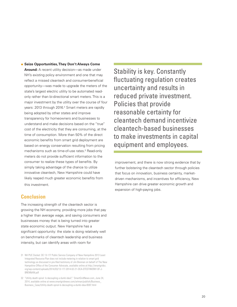**• Seize Opportunities, They Don't Always Come** 

**Around:** A recent utility decision—as made under NH's existing policy environment and one that may reflect a missed cleantech and consumer-beneficial opportunity—was made to upgrade the meters of the state's largest electric utility to be automated readonly rather than bi-directional smart meters. This is a major investment by the utility over the course of four years: 2013 through 2016.<sup>31</sup> Smart meters are rapidly being adopted by other states and improve transparency for homeowners and businesses to understand and make decisions based on the "true" cost of the electricity that they are consuming, at the time of consumption. More than 50% of the direct economic benefits from smart grid deployment are based on energy conservation resulting from pricing mechanisms such as time-of-use rates.<sup>2</sup> Read-only meters do not provide sufficient information to the consumer to realize these types of benefits. By simply taking advantage of the chance to utilize innovative cleantech, New Hampshire could have likely reaped much greater economic benefits from this investment.

#### **Conclusion**

The increasing strength of the cleantech sector is growing the NH economy, providing more jobs that pay a higher than average wage, and saving consumers and businesses money that is being turned into greater state economic output. New Hampshire has a significant opportunity: the state is doing relatively well on benchmarks of cleantech leadership and business intensity, but can identify areas with room for

Stability is key. Constantly fluctuating regulation creates uncertainty and results in reduced private investment. Policies that provide reasonable certainty for cleantech demand incentivize cleantech-based businesses to make investments in capital equipment and employees.

improvement, and there is now strong evidence that by further bolstering the cleantech sector through policies that focus on innovation, business certainty, marketdriven mechanisms, and incentives for efficiency, New Hampshire can drive greater economic growth and expansion of high-paying jobs.

<sup>31</sup> NH PUC Docket: DE 13-177 Public Service Company of New Hampshire 2013 Least Integrated Resource Plan does not include metering in relation to smart grid technology as discussed in pre-filed testimony of Jim Brennan on behalf of The New Hampshire Office of the Consumer Advocate, available online at http://smartgridcc. org/wp-content/uploads/2014/03/13-177-2014-02-21-OCA-DTESTIMONY-OF-J-BRENNAN.pdf

<sup>32</sup> "Utility death spiral: Is decoupling a dumb idea?," SmartGridNews.com, June 24, 2014, available online at www.smartgridnews.com/artman/publish/Business\_ Business\_Case/Utility-death-spiral-Is-decoupling-a-dumb-idea-6597.html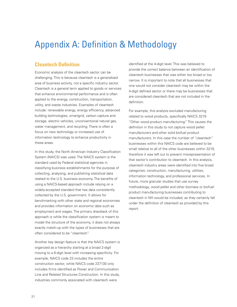## Appendix A: Definition & Methodology

### **Cleantech Definition**

Economic analysis of the cleantech sector can be challenging. This is because cleantech is a generalized area of business activity, not a specific industry sector. Cleantech is a general term applied to goods or services that enhance environmental performance and is often applied to the energy, construction, transportation, utility, and waste industries. Examples of cleantech include: renewable energy, energy efficiency, advanced building technologies, smartgrid, carbon capture and storage, electric vehicles, unconventional natural gas, water management, and recycling. There is often a focus on new technology or increased use of information technology to enhance productivity in these areas.

In this study, the North American Industry Classification System (NAICS) was used. The NAICS system is the standard used by Federal statistical agencies in classifying business establishments for the purpose of collecting, analyzing, and publishing statistical data related to the U.S. business economy. The benefits of using a NAICS-based approach include relying on a widely-accepted standard that has data consistently collected by the U.S. government. It allows for benchmarking with other state and regional economies and provides information on economic data such as employment and wages. The primary drawback of this approach is while the classification system is meant to model the structure of the economy, it does not always exactly match-up with the types of businesses that are often considered to be "cleantech".

Another key design feature is that the NAICS system is organized as a hierarchy starting at a broad 2-digit moving to a 6-digit level with increasing specificity. For example, NAICS code 23 includes the entire construction sector, while NAICS code 237130 only includes firms identified as Power and Communication Line and Related Structures Construction. In this study, industries commonly associated with cleantech were

identified at the 4-digit level. This was believed to provide the correct balance between an identification of cleantech businesses that was either too broad or too narrow. It is important to note that all businesses that one would not consider cleantech may be within the 4-digit defined sector or there may be businesses that are considered cleantech that are not included in the definition.

For example, this analysis excluded manufacturing related to wood products, specifically NAICS 3219 "Other wood product manufacturing." This causes the definition in this study to not capture wood pellet manufacturers and other solid biofuel product manufacturers. In this case the number of "cleantech" businesses within this NAICS code are believed to be small relative to all of the other businesses within 3219, therefore it was left out to prevent misrepresentation of that sector's contribution to cleantech. In this analysis, cleantech industry areas were identified into five broad categories: construction, manufacturing, utilities, information technology, and professional services. In future, more granular studies that use survey methodology, wood pellet and other biomass or biofuel product manufacturing businesses contributing to cleantech in NH would be included, as they certainly fall under the definition of cleantech as provided by this report.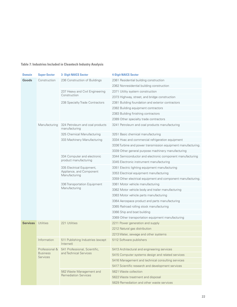#### **Table 7: Industries Included in Cleantech Industry Analysis**

| <b>Domain</b>   | <b>Super-Sector</b>                | <b>3- Digit NAICS Sector</b>                                           | <b>4-Digit NAICS Sector</b>                                  |                                           |  |                             |                                   |
|-----------------|------------------------------------|------------------------------------------------------------------------|--------------------------------------------------------------|-------------------------------------------|--|-----------------------------|-----------------------------------|
| Goods           | Construction                       | 236 Construction of Buildings                                          | 2361 Residential building construction                       |                                           |  |                             |                                   |
|                 |                                    |                                                                        | 2362 Nonresidential building construction                    |                                           |  |                             |                                   |
|                 |                                    | 237 Heavy and Civil Engineering                                        | 2371 Utility system construction                             |                                           |  |                             |                                   |
|                 |                                    | Construction                                                           | 2373 Highway, street, and bridge construction                |                                           |  |                             |                                   |
|                 |                                    | 238 Specialty Trade Contractors                                        | 2381 Building foundation and exterior contractors            |                                           |  |                             |                                   |
|                 |                                    | 2382 Building equipment contractors                                    |                                                              |                                           |  |                             |                                   |
|                 |                                    |                                                                        | 2383 Building finishing contractors                          |                                           |  |                             |                                   |
|                 |                                    |                                                                        | 2389 Other specialty trade contractors                       |                                           |  |                             |                                   |
| Manufacturing   |                                    | 324 Petroleum and coal products<br>manufacturing                       | 3241 Petroleum and coal products manufacturing               |                                           |  |                             |                                   |
|                 |                                    | 325 Chemical Manufacturing                                             | 3251 Basic chemical manufacturing                            |                                           |  |                             |                                   |
|                 |                                    | 333 Machinery Manufacturing                                            | 3334 Hvac and commercial refrigeration equipment             |                                           |  |                             |                                   |
|                 |                                    | 3336 Turbine and power transmission equipment manufacturing.           |                                                              |                                           |  |                             |                                   |
|                 |                                    |                                                                        | 3339 Other general purpose machinery manufacturing           |                                           |  |                             |                                   |
|                 | 334 Computer and electronic        | 3344 Semiconductor and electronic component manufacturing              |                                                              |                                           |  |                             |                                   |
|                 |                                    | product manufacturing                                                  | 3345 Electronic instrument manufacturing                     |                                           |  |                             |                                   |
|                 |                                    | 335 Electrical Equipment,<br>Appliance, and Component<br>Manufacturing | 3351 Electric lighting equipment manufacturing               |                                           |  |                             |                                   |
|                 |                                    |                                                                        | 3353 Electrical equipment manufacturing                      |                                           |  |                             |                                   |
|                 |                                    |                                                                        | 3359 Other electrical equipment and component manufacturing. |                                           |  |                             |                                   |
|                 |                                    | 336 Transportation Equipment<br>Manufacturing                          | 3361 Motor vehicle manufacturing                             |                                           |  |                             |                                   |
|                 |                                    |                                                                        | 3362 Motor vehicle body and trailer manufacturing            |                                           |  |                             |                                   |
|                 |                                    |                                                                        | 3363 Motor vehicle parts manufacturing                       |                                           |  |                             |                                   |
|                 |                                    |                                                                        | 3364 Aerospace product and parts manufacturing               |                                           |  |                             |                                   |
|                 |                                    |                                                                        | 3365 Railroad rolling stock manufacturing                    |                                           |  |                             |                                   |
|                 |                                    |                                                                        | 3366 Ship and boat building                                  |                                           |  |                             |                                   |
|                 |                                    |                                                                        | 3369 Other transportation equipment manufacturing            |                                           |  |                             |                                   |
| <b>Services</b> | Utilities                          | 221 Utilities                                                          | 2211 Power generation and supply                             |                                           |  |                             |                                   |
|                 |                                    |                                                                        | 2212 Natural gas distribution                                |                                           |  |                             |                                   |
|                 |                                    |                                                                        | 2213 Water, sewage and other systems                         |                                           |  |                             |                                   |
|                 | Information                        | 511 Publishing Industries (except<br>Internet)                         | 5112 Software publishers                                     |                                           |  |                             |                                   |
|                 |                                    | Professional & 541 Professional, Scientific,                           | 5413 Architectural and engineering services                  |                                           |  |                             |                                   |
|                 | <b>Business</b><br><b>Services</b> | and Technical Services                                                 | 5415 Computer systems design and related services            |                                           |  |                             |                                   |
|                 |                                    |                                                                        | 5416 Management and technical consulting services            |                                           |  |                             |                                   |
|                 |                                    |                                                                        | 5417 Scientific research and development services            |                                           |  |                             |                                   |
|                 |                                    | 562 Waste Management and                                               | 5621 Waste collection                                        |                                           |  |                             |                                   |
|                 |                                    |                                                                        |                                                              |                                           |  | <b>Remediation Services</b> | 5622 Waste treatment and disposal |
|                 |                                    |                                                                        |                                                              | 5629 Remediation and other waste services |  |                             |                                   |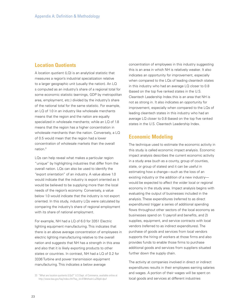#### **Location Quotients**

A location quotient (LQ) is an analytical statistic that measures a region's industrial specialization relative to a larger geographic unit (usually the nation). An LQ s computed as an industry's share of a regional total for some economic statistic (earnings, GDP by metropolitan area, employment, etc.) divided by the industry's share of the national total for the same statistic. For example, an LQ of 1.0 in an industry like wholesale merchants means that the region and the nation are equally specialized in wholesale merchants; while an LQ of 1.8 means that the region has a higher concentration in wholesale merchants than the nation. Conversely, a LQ of 0.5 would mean that the region had a lower concentration of wholesale markets than the overall nation.<sup>33</sup>

LQs can help reveal what makes a particular region "unique" by highlighting industries that differ from the overall nation. LQs can also be used to identify the "export orientation" of an industry. A value above 1.0 would indicate that the industry is export oriented as it would be believed to be supplying more than the local needs of the region's economy. Conversely, a value below 1.0 would indicate that the industry is not export oriented. In this study, industry LQs were calculated by comparing the industry's share of regional employment with its share of national employment.

For example, NH had a LQ of 6.0 for 3351 Electric lighting equipment manufacturing. This indicates that there is an above average concentration of employees in electric lighting manufacturing relative to the overall nation and suggests that NH has a strength in this area and also that it is likely exporting products to other states or countries. In contrast, NH had a LQ of 0.2 for 3336 Turbine and power transmission equipment manufacturing. This indicates a below average

33 "What are location quotients (LQs)?" U.S Dept. of Commerce, available online at http://www.bea.gov/faq/index.cfm?faq\_id=478#sthash.LuZI6qbI.dpuf

concentration of employees in this industry suggesting this is an area in which NH is relatively weaker. It also indicates an opportunity for improvement, especially when compared to the LQs of leading cleantech states in this industry who had an average LQ closer to 0.8 (based on the top five ranked states in the U.S. Cleantech Leadership Index.this is an area that NH is not as strong in. It also indicates an opportunity for improvement, especially when compared to the LQs of leading cleantech states in this industry who had an average LQ closer to 0.8 (based on the top five ranked states in the U.S. Cleantech Leadership Index.

#### **Economic Modeling**

The technique used to estimate the economic activity in this study is called economic impact analysis. Economic impact analysis describes the current economic activity in a study area (such as a county, group of counties, state, or group of states) and it can be useful in estimating how a change—such as the loss of an existing industry or the addition of a new industry would be expected to affect the wider local or regional economy in the study area. Impact analysis begins with evaluating the output of businesses included in the analysis. These expenditures (referred to as direct expenditures) trigger a series of additional spending flows throughout other sectors of the local economy as businesses spend on 1) payroll and benefits, and 2) supplies, equipment, and service contracts with local vendors (referred to as indirect expenditures). The purchase of goods and services from local vendors supports the hiring of workers at those firms and also provides funds to enable those firms to purchase additional goods and services from suppliers situated further down the supply chain.

The activity at companies involved in direct or indirect expenditures results in their employees earning salaries and wages. A portion of their wages will be spent on local goods and services at different industries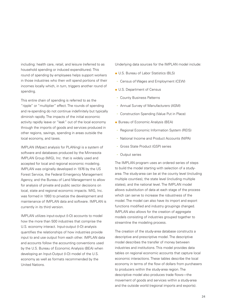including: health care, retail, and leisure (referred to as household spending or induced expenditures). This round of spending by employees helps support workers in those industries who then will spend portions of their incomes locally which, in turn, triggers another round of spending.

This entire chain of spending is referred to as the "ripple" or "multiplier" effect. The rounds of spending and re-spending do not continue indefinitely but typically diminish rapidly. The impacts of the initial economic activity rapidly leave or "leak" out of the local economy through the imports of goods and services produced in other regions, savings, spending in areas outside the local economy, and taxes.

IMPLAN (IMpact analysis for PLANing) is a system of software and databases produced by the Minnesota IMPLAN Group (MIG), Inc. that is widely used and accepted for local and regional economic modeling. IMPLAN was originally developed in 1976 by the US Forest Service, the Federal Emergency Management Agency, and the Bureau of Land Management to allow for analysis of private and public sector decisions on local, state and regional economic impacts. MIG, Inc. was formed in 1993 to privatize the development and maintenance of IMPLAN data and software. IMPLAN is currently in its third version.

IMPLAN utilizes input-output (I-O) accounts to model how the more than 500 industries that comprise the U.S. economy interact. Input-output (I-O) analysis quantifies the relationships of how industries provide input to and use output from each other. IMPLAN data and accounts follow the accounting conventions used by the U.S. Bureau of Economic Analysis (BEA) when developing an Input-Output (I-O) model of the U.S. economy as well as formats recommended by the United Nations.

Underlying data sources for the IMPLAN model include:

- U.S. Bureau of Labor Statistics (BLS)
- **-** Census of Wages and Employment (CEW)
- U.S. Department of Census
- **-** County Business Patterns
- **-** Annual Survey of Manufacturers (ASM)
- **-** Construction Spending (Value Put in Place)
- Bureau of Economic Analysis (BEA)
- **-** Regional Economic Information System (REIS)
- **-** National Income and Product Accounts (NIPA)
- **-** Gross State Product (GSP) series
- **-** Output series

The IMPLAN program uses an ordered series of steps to build the model starting with selection of a studyarea. The study-area can be at the county level (including multiple counties), the state level (including multiple states), and the national level. The IMPLAN model allows substitution of data at each stage of the process which can serve to increase the robustness of the model. The model can also have its import and export functions modified and industry groupings changed. IMPLAN also allows for the creation of aggregate models consisting of industries grouped together to streamline the modeling process.

The creation of the study-area database constructs a descriptive and prescriptive model. The descriptive model describes the transfer of money between industries and institutions. This model provides data tables on regional economic accounts that capture local economic interactions. These tables describe the local economy in terms of the flow of dollars from purchasers to producers within the study-area region. The descriptive model also produces trade flows—the movement of goods and services within a study-area and the outside world (regional imports and exports).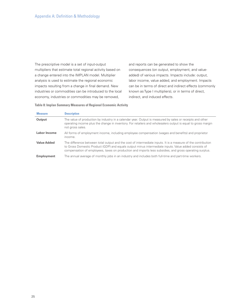The prescriptive model is a set of input-output multipliers that estimate total regional activity based on a change entered into the IMPLAN model. Multiplier analysis is used to estimate the regional economic impacts resulting from a change in final demand. New industries or commodities can be introduced to the local economy, industries or commodities may be removed,

and reports can be generated to show the consequences (on output, employment, and valueadded) of various impacts. Impacts include: output, labor income, value added, and employment. Impacts can be in terms of direct and indirect effects (commonly known as Type I multipliers), or in terms of direct, indirect, and induced effects.

**Table 8: Implan Summary Measures of Regional Economic Activity**

| <b>Measure</b>      | <b>Description</b>                                                                                                                                                                                                                                                                                                              |
|---------------------|---------------------------------------------------------------------------------------------------------------------------------------------------------------------------------------------------------------------------------------------------------------------------------------------------------------------------------|
| Output              | The value of production by industry in a calendar year. Output is measured by sales or receipts and other<br>operating income plus the change in inventory. For retailers and wholesalers output is equal to gross margin<br>not gross sales.                                                                                   |
| <b>Labor Income</b> | All forms of employment income, including employee compensation (wages and benefits) and proprietor<br>income.                                                                                                                                                                                                                  |
| <b>Value Added</b>  | The difference between total output and the cost of intermediate inputs. It is a measure of the contribution<br>to Gross Domestic Product (GDP) and equals output minus intermediate inputs. Value added consists of<br>compensation of employees, taxes on production and imports less subsidies, and gross operating surplus. |
| Employment          | The annual average of monthly jobs in an industry and includes both full-time and part-time workers.                                                                                                                                                                                                                            |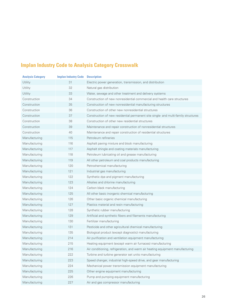## **Implan Industry Code to Analysis Category Crosswalk**

| <b>Analysis Category</b> | <b>Implan Industry Code</b> | <b>Description</b>                                                                 |
|--------------------------|-----------------------------|------------------------------------------------------------------------------------|
| Utility                  | 31                          | Electric power generation, transmission, and distribution                          |
| Utility                  | 32                          | Natural gas distribution                                                           |
| Utility                  | 33                          | Water, sewage and other treatment and delivery systems                             |
| Construction             | 34                          | Construction of new nonresidential commercial and health care structures           |
| Construction             | 35                          | Construction of new nonresidential manufacturing structures                        |
| Construction             | 36                          | Construction of other new nonresidential structures                                |
| Construction             | 37                          | Construction of new residential permanent site single- and multi-family structures |
| Construction             | 38                          | Construction of other new residential structures                                   |
| Construction             | 39                          | Maintenance and repair construction of nonresidential structures                   |
| Construction             | 40                          | Maintenance and repair construction of residential structures                      |
| Manufacturing            | 115                         | Petroleum refineries                                                               |
| Manufacturing            | 116                         | Asphalt paving mixture and block manufacturing                                     |
| Manufacturing            | 117                         | Asphalt shingle and coating materials manufacturing                                |
| Manufacturing            | 118                         | Petroleum lubricating oil and grease manufacturing                                 |
| Manufacturing            | 119                         | All other petroleum and coal products manufacturing                                |
| Manufacturing            | 120                         | Petrochemical manufacturing                                                        |
| Manufacturing            | 121                         | Industrial gas manufacturing                                                       |
| Manufacturing            | 122                         | Synthetic dye and pigment manufacturing                                            |
| Manufacturing            | 123                         | Alkalies and chlorine manufacturing                                                |
| Manufacturing            | 124                         | Carbon black manufacturing                                                         |
| Manufacturing            | 125                         | All other basic inorganic chemical manufacturing                                   |
| Manufacturing            | 126                         | Other basic organic chemical manufacturing                                         |
| Manufacturing            | 127                         | Plastics material and resin manufacturing                                          |
| Manufacturing            | 128                         | Synthetic rubber manufacturing                                                     |
| Manufacturing            | 129                         | Artificial and synthetic fibers and filaments manufacturing                        |
| Manufacturing            | 130                         | Fertilizer manufacturing                                                           |
| Manufacturing            | 131                         | Pesticide and other agricultural chemical manufacturing                            |
| Manufacturing            | 135                         | Biological product (except diagnostic) manufacturing                               |
| Manufacturing            | 214                         | Air purification and ventilation equipment manufacturing                           |
| Manufacturing            | 215                         | Heating equipment (except warm air furnaces) manufacturing                         |
| Manufacturing            | 216                         | Air conditioning, refrigeration, and warm air heating equipment manufacturing      |
| Manufacturing            | 222                         | Turbine and turbine generator set units manufacturing                              |
| Manufacturing            | 223                         | Speed changer, industrial high-speed drive, and gear manufacturing                 |
| Manufacturing            | 224                         | Mechanical power transmission equipment manufacturing                              |
| Manufacturing            | 225                         | Other engine equipment manufacturing                                               |
| Manufacturing            | 226                         | Pump and pumping equipment manufacturing                                           |
| Manufacturing            | 227                         | Air and gas compressor manufacturing                                               |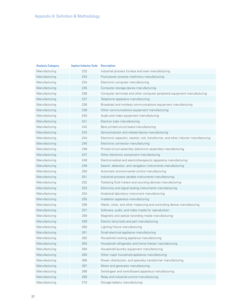| <b>Analysis Category</b> | <b>Implan Industry Code</b> | <b>Description</b>                                                                  |
|--------------------------|-----------------------------|-------------------------------------------------------------------------------------|
| Manufacturing            | 232                         | Industrial process furnace and oven manufacturing                                   |
| Manufacturing            | 233                         | Fluid power process machinery manufacturing                                         |
| Manufacturing            | 234                         | Electronic computer manufacturing                                                   |
| Manufacturing            | 235                         | Computer storage device manufacturing                                               |
| Manufacturing            | 236                         | Computer terminals and other computer peripheral equipment manufacturing            |
| Manufacturing            | 237                         | Telephone apparatus manufacturing                                                   |
| Manufacturing            | 238                         | Broadcast and wireless communications equipment manufacturing                       |
| Manufacturing            | 239                         | Other communications equipment manufacturing                                        |
| Manufacturing            | 240                         | Audio and video equipment manufacturing                                             |
| Manufacturing            | 241                         | Electron tube manufacturing                                                         |
| Manufacturing            | 242                         | Bare printed circuit board manufacturing                                            |
| Manufacturing            | 243                         | Semiconductor and related device manufacturing                                      |
| Manufacturing            | 244                         | Electronic capacitor, resistor, coil, transformer, and other inductor manufacturing |
| Manufacturing            | 245                         | Electronic connector manufacturing                                                  |
| Manufacturing            | 246                         | Printed circuit assembly (electronic assembly) manufacturing                        |
| Manufacturing            | 247                         | Other electronic component manufacturing                                            |
| Manufacturing            | 248                         | Electromedical and electrotherapeutic apparatus manufacturing                       |
| Manufacturing            | 249                         | Search, detection, and navigation instruments manufacturing                         |
| Manufacturing            | 250                         | Automatic environmental control manufacturing                                       |
| Manufacturing            | 251                         | Industrial process variable instruments manufacturing                               |
| Manufacturing            | 252                         | Totalizing fluid meters and counting devices manufacturing                          |
| Manufacturing            | 253                         | Electricity and signal testing instruments manufacturing                            |
| Manufacturing            | 254                         | Analytical laboratory instrument manufacturing                                      |
| Manufacturing            | 255                         | Irradiation apparatus manufacturing                                                 |
| Manufacturing            | 256                         | Watch, clock, and other measuring and controlling device manufacturing              |
| Manufacturing            | 257                         | Software, audio, and video media for reproduction                                   |
| Manufacturing            | 258                         | Magnetic and optical recording media manufacturing                                  |
| Manufacturing            | 259                         | Electric lamp bulb and part manufacturing                                           |
| Manufacturing            | 260                         | Lighting fixture manufacturing                                                      |
| Manufacturing            | 261                         | Small electrical appliance manufacturing                                            |
| Manufacturing            | 262                         | Household cooking appliance manufacturing                                           |
| Manufacturing            | 263                         | Household refrigerator and home freezer manufacturing                               |
| Manufacturing            | 264                         | Household laundry equipment manufacturing                                           |
| Manufacturing            | 265                         | Other major household appliance manufacturing                                       |
| Manufacturing            | 266                         | Power, distribution, and specialty transformer manufacturing                        |
| Manufacturing            | 267                         | Motor and generator manufacturing                                                   |
| Manufacturing            | 268                         | Switchgear and switchboard apparatus manufacturing                                  |
| Manufacturing            | 269                         | Relay and industrial control manufacturing                                          |
| Manufacturing            | 270                         | Storage battery manufacturing                                                       |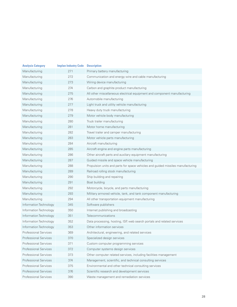| <b>Analysis Category</b>     | <b>Implan Industry Code</b> | <b>Description</b>                                                              |
|------------------------------|-----------------------------|---------------------------------------------------------------------------------|
| Manufacturing                | 271                         | Primary battery manufacturing                                                   |
| Manufacturing                | 272                         | Communication and energy wire and cable manufacturing                           |
| Manufacturing                | 273                         | Wiring device manufacturing                                                     |
| Manufacturing                | 274                         | Carbon and graphite product manufacturing                                       |
| Manufacturing                | 275                         | All other miscellaneous electrical equipment and component manufacturing        |
| Manufacturing                | 276                         | Automobile manufacturing                                                        |
| Manufacturing                | 277                         | Light truck and utility vehicle manufacturing                                   |
| Manufacturing                | 278                         | Heavy duty truck manufacturing                                                  |
| Manufacturing                | 279                         | Motor vehicle body manufacturing                                                |
| Manufacturing                | 280                         | Truck trailer manufacturing                                                     |
| Manufacturing                | 281                         | Motor home manufacturing                                                        |
| Manufacturing                | 282                         | Travel trailer and camper manufacturing                                         |
| Manufacturing                | 283                         | Motor vehicle parts manufacturing                                               |
| Manufacturing                | 284                         | Aircraft manufacturing                                                          |
| Manufacturing                | 285                         | Aircraft engine and engine parts manufacturing                                  |
| Manufacturing                | 286                         | Other aircraft parts and auxiliary equipment manufacturing                      |
| Manufacturing                | 287                         | Guided missile and space vehicle manufacturing                                  |
| Manufacturing                | 288                         | Propulsion units and parts for space vehicles and guided missiles manufacturing |
| Manufacturing                | 289                         | Railroad rolling stock manufacturing                                            |
| Manufacturing                | 290                         | Ship building and repairing                                                     |
| Manufacturing                | 291                         | Boat building                                                                   |
| Manufacturing                | 292                         | Motorcycle, bicycle, and parts manufacturing                                    |
| Manufacturing                | 293                         | Military armored vehicle, tank, and tank component manufacturing                |
| Manufacturing                | 294                         | All other transportation equipment manufacturing                                |
| Information Technology       | 345                         | Software publishers                                                             |
| Information Technology       | 350                         | Internet publishing and broadcasting                                            |
| Information Technology       | 351                         | Telecommunications                                                              |
| Information Technology       | 352                         | Data processing, hosting, ISP, web search portals and related services          |
| Information Technology       | 353                         | Other information services                                                      |
| <b>Professional Services</b> | 369                         | Architectural, engineering, and related services                                |
| Professional Services        | 370                         | Specialized design services                                                     |
| <b>Professional Services</b> | 371                         | Custom computer programming services                                            |
| <b>Professional Services</b> | 372                         | Computer systems design services                                                |
| <b>Professional Services</b> | 373                         | Other computer related services, including facilities management                |
| <b>Professional Services</b> | 374                         | Management, scientific, and technical consulting services                       |
| <b>Professional Services</b> | 375                         | Environmental and other technical consulting services                           |
| <b>Professional Services</b> | 376                         | Scientific research and development services                                    |
| Professional Services        | 390                         | Waste management and remediation services                                       |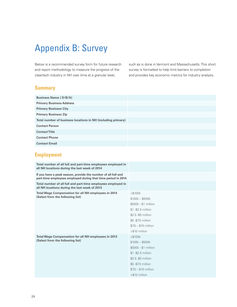## Appendix B: Survey

Below is a recommended survey form for future research and report methodology to measure the progress of the cleantech industry in NH over time at a granular level,

such as is done in Vermont and Massachusetts. This short survey is formatted to help limit barriers to completion and provides key economic metrics for industry analysis.

### **Summary**

| <b>Business Name (D/B/A)</b>                                 |  |
|--------------------------------------------------------------|--|
| <b>Primary Business Address</b>                              |  |
| <b>Primary Business City</b>                                 |  |
| <b>Primary Business Zip</b>                                  |  |
| Total number of business locations in NH (including primary) |  |
| <b>Contact Person</b>                                        |  |
| <b>Contact Title</b>                                         |  |
| <b>Contact Phone</b>                                         |  |
| <b>Contact Email</b>                                         |  |

## **Employment**

| Total number of all full and part-time employees employed in<br>all NH locations during the last week of 2014                 |                                                                                                                                                                          |
|-------------------------------------------------------------------------------------------------------------------------------|--------------------------------------------------------------------------------------------------------------------------------------------------------------------------|
| If you have a peak season, provide the number of all full and<br>part-time employees employed during that time period in 2014 |                                                                                                                                                                          |
| Total number of all full and part-time employees employed in<br>all NH locations during the last week of 2013                 |                                                                                                                                                                          |
| <b>Total Wage Compensation for all NH employees in 2014</b><br>(Select from the following list)                               | $<$ \$100 $k$<br>$$100k - $500k$<br>\$500k - \$1 million<br>\$1 - \$2.5 million<br>\$2.5 - \$5 million<br>\$5 - \$7.5 million<br>$$7.5 - $10$ million<br>$> $10$ million |
| <b>Total Wage Compensation for all NH employees in 2013</b><br>(Select from the following list)                               | $<$ \$100 $k$<br>$$100k - $500k$<br>\$500k - \$1 million<br>\$1-\$2.5 million<br>\$2.5 - \$5 million<br>\$5 - \$7.5 million<br>$$7.5 - $10$ million<br>>\$10 million     |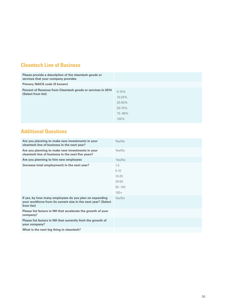## **Cleantech Line of Business**

| Please provide a description of the cleantech goods or<br>services that your company provides |                                           |
|-----------------------------------------------------------------------------------------------|-------------------------------------------|
| <b>Primary NAICS code (if known)</b>                                                          |                                           |
| Percent of Revenue from Cleantech goods or services in 2014<br>(Select from list)             | $0-10%$<br>10-25%<br>25-50%<br>$50 - 75%$ |
|                                                                                               | 75-99%<br>$100\%$                         |

## **Additional Questions**

| Are you planning to make new investments in your<br>cleantech line of business in the next year?                                       | Yes/No     |
|----------------------------------------------------------------------------------------------------------------------------------------|------------|
| Are you planning to make new investments in your<br>cleantech line of business in the next five years?                                 | Yes/No     |
| Are you planning to hire new employees                                                                                                 | Yes/No     |
| (Increase total employment) in the next year?                                                                                          | $1-5$      |
|                                                                                                                                        | $5 - 10$   |
|                                                                                                                                        | $10 - 20$  |
|                                                                                                                                        | $20 - 50$  |
|                                                                                                                                        | $50 - 100$ |
|                                                                                                                                        | $100+$     |
| If yes, by how many employees do you plan on expanding<br>your workforce from its current size in the next year? (Select<br>from list) | Yes/No     |
| Please list factors in NH that accelerate the growth of your<br>company?                                                               |            |
| Please list factors in NH that currently limit the growth of<br>your company?                                                          |            |
| What is the next big thing in cleantech?                                                                                               |            |